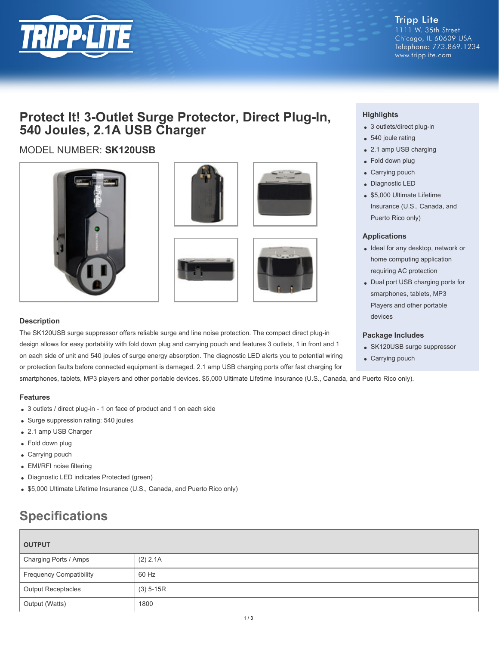

**Tripp Lite** 1111 W. 35th Street Chicago, IL 60609 USA Telephone: 773.869.1234 www.tripplite.com

# **Protect It! 3-Outlet Surge Protector, Direct Plug-In, 540 Joules, 2.1A USB Charger**

# MODEL NUMBER: **SK120USB**









## **Description**

The SK120USB surge suppressor offers reliable surge and line noise protection. The compact direct plug-in design allows for easy portability with fold down plug and carrying pouch and features 3 outlets, 1 in front and 1 on each side of unit and 540 joules of surge energy absorption. The diagnostic LED alerts you to potential wiring or protection faults before connected equipment is damaged. 2.1 amp USB charging ports offer fast charging for

smartphones, tablets, MP3 players and other portable devices. \$5,000 Ultimate Lifetime Insurance (U.S., Canada, and Puerto Rico only).

### **Features**

- 3 outlets / direct plug-in 1 on face of product and 1 on each side
- Surge suppression rating: 540 joules
- 2.1 amp USB Charger
- Fold down plug
- Carrying pouch
- EMI/RFI noise filtering
- Diagnostic LED indicates Protected (green)
- \$5,000 Ultimate Lifetime Insurance (U.S., Canada, and Puerto Rico only)

# **Specifications**

| <b>OUTPUT</b>                  |             |  |
|--------------------------------|-------------|--|
| Charging Ports / Amps          | (2) 2.1A    |  |
| <b>Frequency Compatibility</b> | 60 Hz       |  |
| <b>Output Receptacles</b>      | $(3)$ 5-15R |  |
| Output (Watts)                 | 1800        |  |

# **Highlights**

- 3 outlets/direct plug-in
- 540 joule rating
- 2.1 amp USB charging
- Fold down plug
- Carrying pouch
- Diagnostic LED
- \$5,000 Ultimate Lifetime Insurance (U.S., Canada, and Puerto Rico only)

### **Applications**

- Ideal for any desktop, network or home computing application requiring AC protection
- Dual port USB charging ports for smarphones, tablets, MP3 Players and other portable devices

### **Package Includes**

- SK120USB surge suppressor
- Carrying pouch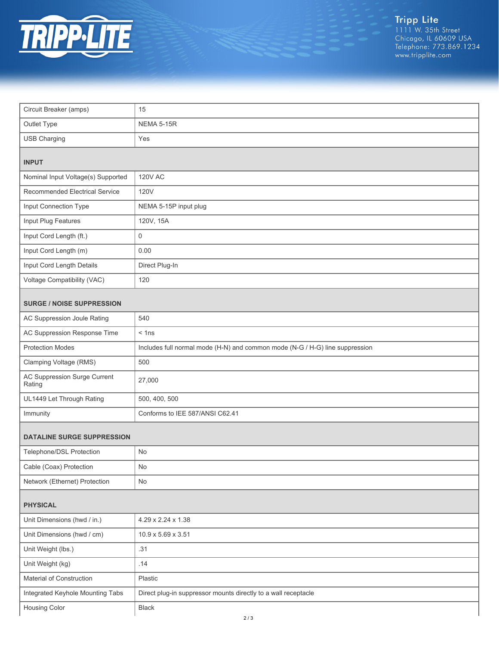

Tripp Lite<br>1111 W. 35th Street<br>Chicago, IL 60609 USA<br>Telephone: 773.869.1234<br>www.tripplite.com

| Circuit Breaker (amps)                 | 15                                                                           |  |
|----------------------------------------|------------------------------------------------------------------------------|--|
| Outlet Type                            | <b>NEMA 5-15R</b>                                                            |  |
| <b>USB Charging</b>                    | Yes                                                                          |  |
| <b>INPUT</b>                           |                                                                              |  |
| Nominal Input Voltage(s) Supported     | <b>120V AC</b>                                                               |  |
| Recommended Electrical Service         | 120V                                                                         |  |
| Input Connection Type                  | NEMA 5-15P input plug                                                        |  |
| Input Plug Features                    | 120V, 15A                                                                    |  |
| Input Cord Length (ft.)                | $\mathsf 0$                                                                  |  |
| Input Cord Length (m)                  | 0.00                                                                         |  |
| Input Cord Length Details              | Direct Plug-In                                                               |  |
| Voltage Compatibility (VAC)            | 120                                                                          |  |
| <b>SURGE / NOISE SUPPRESSION</b>       |                                                                              |  |
| AC Suppression Joule Rating            | 540                                                                          |  |
| AC Suppression Response Time           | $<$ 1ns                                                                      |  |
| <b>Protection Modes</b>                | Includes full normal mode (H-N) and common mode (N-G / H-G) line suppression |  |
| Clamping Voltage (RMS)                 | 500                                                                          |  |
| AC Suppression Surge Current<br>Rating | 27,000                                                                       |  |
| UL1449 Let Through Rating              | 500, 400, 500                                                                |  |
| Immunity                               | Conforms to IEE 587/ANSI C62.41                                              |  |
| DATALINE SURGE SUPPRESSION             |                                                                              |  |
| Telephone/DSL Protection               | <b>No</b>                                                                    |  |
| Cable (Coax) Protection                | No                                                                           |  |
| Network (Ethernet) Protection          | No                                                                           |  |
| <b>PHYSICAL</b>                        |                                                                              |  |
| Unit Dimensions (hwd / in.)            | 4.29 x 2.24 x 1.38                                                           |  |
| Unit Dimensions (hwd / cm)             | 10.9 x 5.69 x 3.51                                                           |  |
| Unit Weight (lbs.)                     | .31                                                                          |  |
| Unit Weight (kg)                       | .14                                                                          |  |
| Material of Construction               | Plastic                                                                      |  |
| Integrated Keyhole Mounting Tabs       | Direct plug-in suppressor mounts directly to a wall receptacle               |  |
| Housing Color                          | Black                                                                        |  |